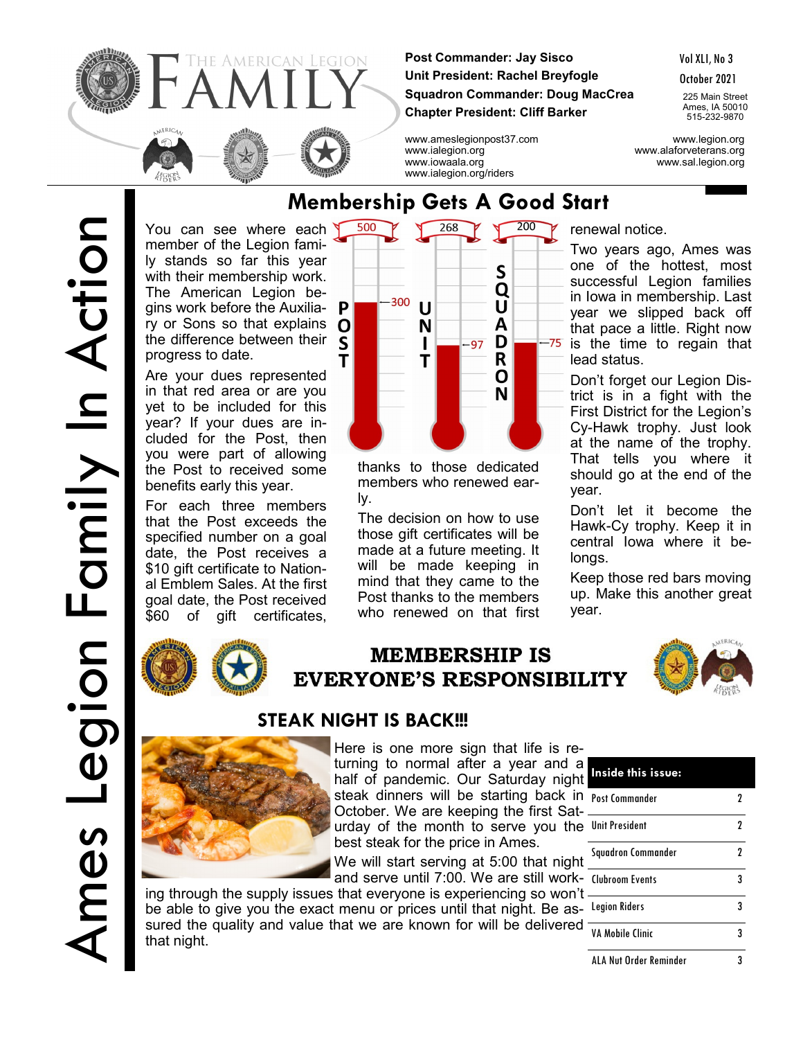

**Post Commander: Jay Sisco Unit President: Rachel Breyfogle Squadron Commander: Doug MacCrea Chapter President: Cliff Barker**

Vol XLI, No 3

October 2021

225 Main Street Ames, IA 50010 515-232-9870

www.ameslegionpost37.com www.legion.org www.ialegion.org www.alaforveterans.org www.iowaala.org www.sal.legion.org



Are your dues represented in that red area or are you yet to be included for this year? If your dues are included for the Post, then you were part of allowing the Post to received some benefits early this year.

For each three members that the Post exceeds the specified number on a goal date, the Post receives a \$10 gift certificate to National Emblem Sales. At the first goal date, the Post received \$60 of gift certificates,



## **MEMBERSHIP IS EVERYONE'S RESPONSIBILITY**





Here is one more sign that life is returning to normal after a year and a half of pandemic. Our Saturday night **Inside this issue:** steak dinners will be starting back in <sub>Post Commander</sub> 2 October. We are keeping the first Saturday of the month to serve you the Unit President 2

best steak for the price in Ames. We will start serving at 5:00 that night

and serve until 7:00. We are still work-Clubroom Events 3 ing through the supply issues that everyone is experiencing so won't

be able to give you the exact menu or prices until that night. Be as- Legion Riders 33 sured the quality and value that we are known for will be delivered that night.

Squadron Commander 2 VA Mobile Clinic 3 ALA Nut Order Reminder 3

## **Membership Gets A Good Start**

www.ialegion.org/riders



thanks to those dedicated members who renewed early.

The decision on how to use those gift certificates will be made at a future meeting. It will be made keeping in mind that they came to the Post thanks to the members who renewed on that first

renewal notice.

Two years ago, Ames was one of the hottest, most successful Legion families in Iowa in membership. Last year we slipped back off that pace a little. Right now is the time to regain that lead status.

Don't forget our Legion District is in a fight with the First District for the Legion's Cy-Hawk trophy. Just look at the name of the trophy. That tells you where it should go at the end of the year.

Don't let it become the Hawk-Cy trophy. Keep it in central Iowa where it belongs.

Keep those red bars moving up. Make this another great year.

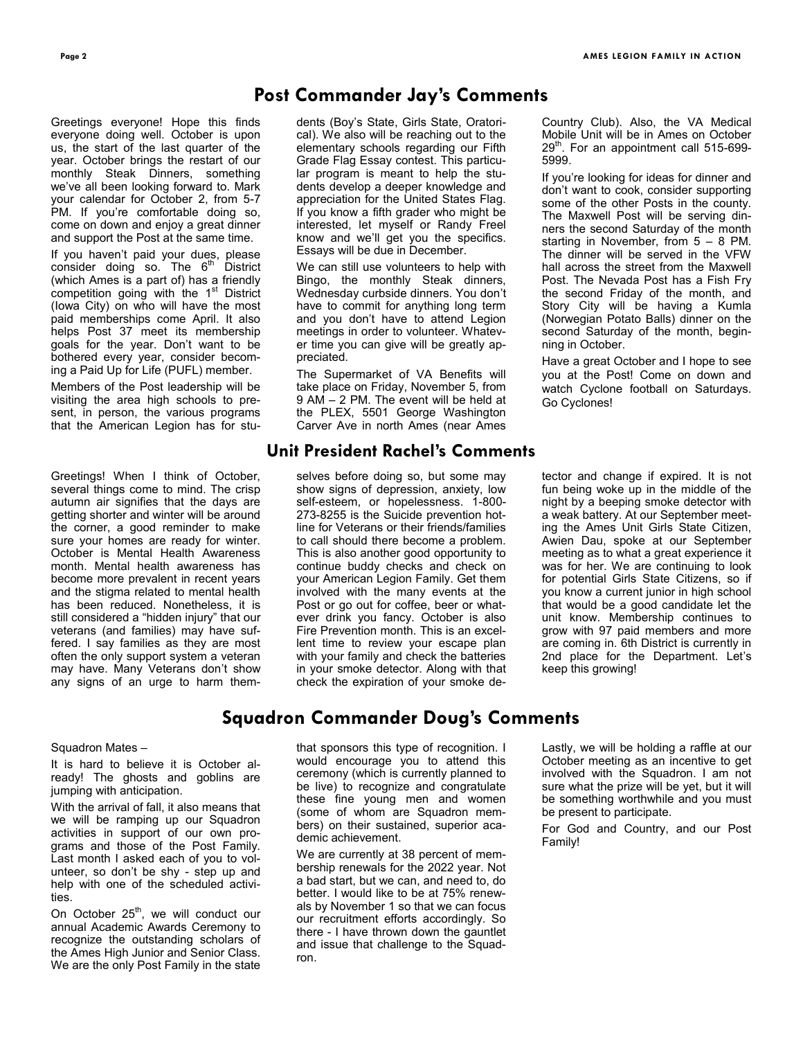## **Post Commander Jay's Comments**

Greetings everyone! Hope this finds everyone doing well. October is upon us, the start of the last quarter of the year. October brings the restart of our monthly Steak Dinners, something we've all been looking forward to. Mark your calendar for October 2, from 5-7 PM. If you're comfortable doing so, come on down and enjoy a great dinner and support the Post at the same time.

If you haven't paid your dues, please consider doing so. The  $6<sup>th</sup>$  District (which Ames is a part of) has a friendly competition going with the 1<sup>st</sup> District (Iowa City) on who will have the most paid memberships come April. It also helps Post 37 meet its membership goals for the year. Don't want to be bothered every year, consider becoming a Paid Up for Life (PUFL) member.

Members of the Post leadership will be visiting the area high schools to present, in person, the various programs that the American Legion has for stu-

Greetings! When I think of October, several things come to mind. The crisp autumn air signifies that the days are getting shorter and winter will be around the corner, a good reminder to make sure your homes are ready for winter. October is Mental Health Awareness month. Mental health awareness has become more prevalent in recent years and the stigma related to mental health has been reduced. Nonetheless, it is still considered a "hidden injury" that our veterans (and families) may have suffered. I say families as they are most often the only support system a veteran may have. Many Veterans don't show any signs of an urge to harm themdents (Boy's State, Girls State, Oratorical). We also will be reaching out to the elementary schools regarding our Fifth Grade Flag Essay contest. This particular program is meant to help the students develop a deeper knowledge and appreciation for the United States Flag. If you know a fifth grader who might be interested, let myself or Randy Freel know and we'll get you the specifics. Essays will be due in December.

We can still use volunteers to help with Bingo, the monthly Steak dinners, Wednesday curbside dinners. You don't have to commit for anything long term and you don't have to attend Legion meetings in order to volunteer. Whatever time you can give will be greatly appreciated.

The Supermarket of VA Benefits will take place on Friday, November 5, from 9 AM – 2 PM. The event will be held at the PLEX, 5501 George Washington Carver Ave in north Ames (near Ames

### **Unit President Rachel's Comments**

selves before doing so, but some may show signs of depression, anxiety, low self-esteem, or hopelessness. 1-800- 273-8255 is the Suicide prevention hotline for Veterans or their friends/families to call should there become a problem. This is also another good opportunity to continue buddy checks and check on your American Legion Family. Get them involved with the many events at the Post or go out for coffee, beer or whatever drink you fancy. October is also Fire Prevention month. This is an excellent time to review your escape plan with your family and check the batteries in your smoke detector. Along with that check the expiration of your smoke de-

Country Club). Also, the VA Medical Mobile Unit will be in Ames on October 29<sup>th</sup>. For an appointment call 515-699-5999.

If you're looking for ideas for dinner and don't want to cook, consider supporting some of the other Posts in the county. The Maxwell Post will be serving dinners the second Saturday of the month starting in November, from 5 – 8 PM. The dinner will be served in the VFW hall across the street from the Maxwell Post. The Nevada Post has a Fish Fry the second Friday of the month, and Story City will be having a Kumla (Norwegian Potato Balls) dinner on the second Saturday of the month, beginning in October.

Have a great October and I hope to see you at the Post! Come on down and watch Cyclone football on Saturdays. Go Cyclones!

tector and change if expired. It is not fun being woke up in the middle of the night by a beeping smoke detector with a weak battery. At our September meeting the Ames Unit Girls State Citizen, Awien Dau, spoke at our September meeting as to what a great experience it was for her. We are continuing to look for potential Girls State Citizens, so if you know a current junior in high school that would be a good candidate let the unit know. Membership continues to grow with 97 paid members and more are coming in. 6th District is currently in 2nd place for the Department. Let's keep this growing!

## **Squadron Commander Doug's Comments**

#### Squadron Mates –

It is hard to believe it is October already! The ghosts and goblins are jumping with anticipation.

With the arrival of fall, it also means that we will be ramping up our Squadron activities in support of our own programs and those of the Post Family. Last month I asked each of you to volunteer, so don't be shy - step up and help with one of the scheduled activities.

On October 25<sup>th</sup>, we will conduct our annual Academic Awards Ceremony to recognize the outstanding scholars of the Ames High Junior and Senior Class. We are the only Post Family in the state

that sponsors this type of recognition. I would encourage you to attend this ceremony (which is currently planned to be live) to recognize and congratulate these fine young men and women (some of whom are Squadron members) on their sustained, superior academic achievement.

We are currently at 38 percent of membership renewals for the 2022 year. Not a bad start, but we can, and need to, do better. I would like to be at 75% renewals by November 1 so that we can focus our recruitment efforts accordingly. So there - I have thrown down the gauntlet and issue that challenge to the Squadron.

Lastly, we will be holding a raffle at our October meeting as an incentive to get involved with the Squadron. I am not sure what the prize will be yet, but it will be something worthwhile and you must be present to participate.

For God and Country, and our Post Family!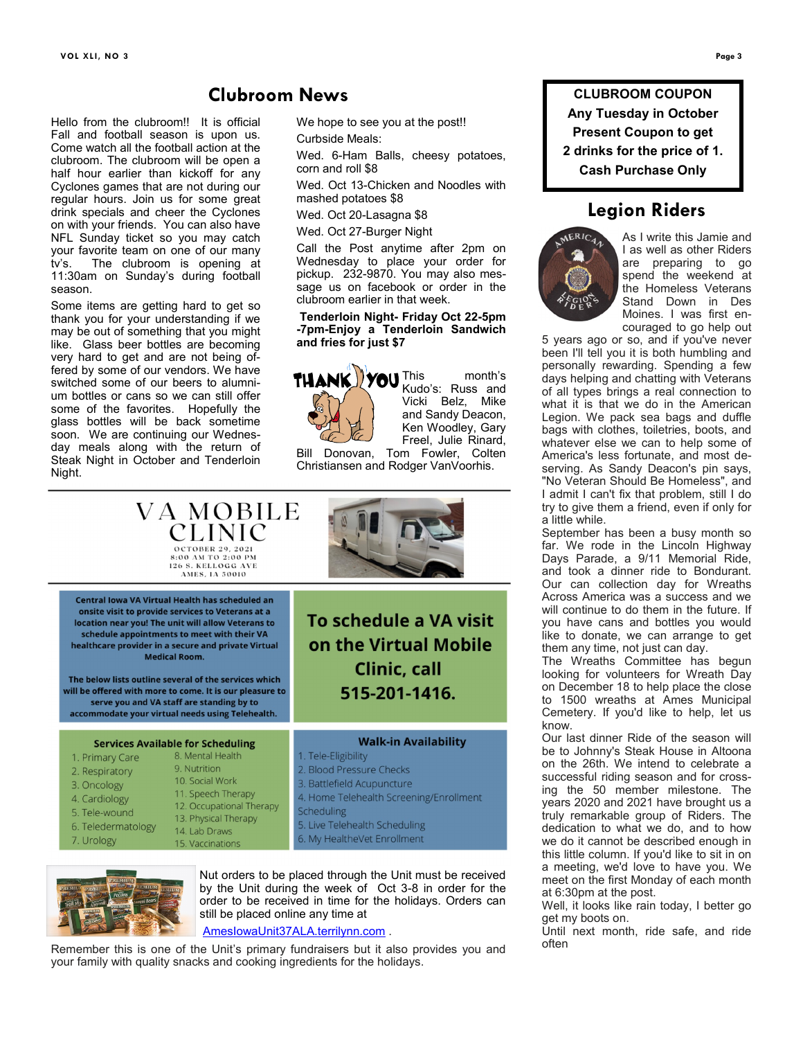Hello from the clubroom!! It is official Fall and football season is upon us. Come watch all the football action at the clubroom. The clubroom will be open a half hour earlier than kickoff for any Cyclones games that are not during our regular hours. Join us for some great drink specials and cheer the Cyclones on with your friends. You can also have NFL Sunday ticket so you may catch your favorite team on one of our many tv's. The clubroom is opening at 11:30am on Sunday's during football season.

Some items are getting hard to get so thank you for your understanding if we may be out of something that you might like. Glass beer bottles are becoming very hard to get and are not being offered by some of our vendors. We have switched some of our beers to alumnium bottles or cans so we can still offer some of the favorites. Hopefully the glass bottles will be back sometime soon. We are continuing our Wednesday meals along with the return of Steak Night in October and Tenderloin Night.

**Clubroom News**

We hope to see you at the post!!

Curbside Meals:

Wed. 6-Ham Balls, cheesy potatoes, corn and roll \$8

Wed. Oct 13-Chicken and Noodles with mashed potatoes \$8

Wed. Oct 20-Lasagna \$8

Wed. Oct 27-Burger Night

Call the Post anytime after 2pm on Wednesday to place your order for pickup. 232-9870. You may also message us on facebook or order in the clubroom earlier in that week.

#### **Tenderloin Night- Friday Oct 22-5pm -7pm-Enjoy a Tenderloin Sandwich and fries for just \$7**



Kudo's: Russ and Vicki Belz, Mike and Sandy Deacon, Ken Woodley, Gary Freel, Julie Rinard,

Bill Donovan, Tom Fowler, Colten Christiansen and Rodger VanVoorhis.

| VA MOBILE<br>CLINIC<br>OCTOBER 29, 2021<br>8:00 AM TO 2:00 PM<br>126 S. KELLOGG AVE<br>AMES. IA 50010                                                                                                                                                                                                                                                                                                                                                                                                          |                                                                                                                                                                                                                                       |  |  |
|----------------------------------------------------------------------------------------------------------------------------------------------------------------------------------------------------------------------------------------------------------------------------------------------------------------------------------------------------------------------------------------------------------------------------------------------------------------------------------------------------------------|---------------------------------------------------------------------------------------------------------------------------------------------------------------------------------------------------------------------------------------|--|--|
| Central Jowa VA Virtual Health has scheduled an<br>onsite visit to provide services to Veterans at a<br>location near you! The unit will allow Veterans to<br>schedule appointments to meet with their VA<br>healthcare provider in a secure and private Virtual<br><b>Medical Room.</b><br>The below lists outline several of the services which<br>will be offered with more to come. It is our pleasure to<br>serve you and VA staff are standing by to<br>accommodate your virtual needs using Telehealth. | To schedule a VA visit<br>on the Virtual Mobile<br>Clinic, call<br>515-201-1416.                                                                                                                                                      |  |  |
| <b>Services Available for Scheduling</b><br>8. Mental Health<br>1. Primary Care<br>9. Nutrition<br>2. Respiratory<br>10. Social Work<br>3. Oncology<br>11. Speech Therapy<br>4. Cardiology<br>12. Occupational Therapy<br>5. Tele-wound<br>13. Physical Therapy<br>6. Teledermatology<br>14. Lab Draws<br>7. Urology<br>15. Vaccinations                                                                                                                                                                       | <b>Walk-in Availability</b><br>1. Tele-Eligibility<br>2. Blood Pressure Checks<br>3. Battlefield Acupuncture<br>4. Home Telehealth Screening/Enrollment<br>Scheduling<br>5. Live Telehealth Scheduling<br>6. My HealtheVet Enrollment |  |  |



Nut orders to be placed through the Unit must be received by the Unit during the week of Oct 3-8 in order for the order to be received in time for the holidays. Orders can still be placed online any time at

[AmesIowaUnit37ALA.terrilynn.com](https://amesiowaunit37ala.terrilynn.com/) .

Remember this is one of the Unit's primary fundraisers but it also provides you and your family with quality snacks and cooking ingredients for the holidays.

**CLUBROOM COUPON Any Tuesday in October Present Coupon to get 2 drinks for the price of 1. Cash Purchase Only**

## **Legion Riders**



As I write this Jamie and I as well as other Riders are preparing to go spend the weekend at the Homeless Veterans Stand Down in Des Moines. I was first encouraged to go help out

5 years ago or so, and if you've never been I'll tell you it is both humbling and personally rewarding. Spending a few days helping and chatting with Veterans of all types brings a real connection to what it is that we do in the American Legion. We pack sea bags and duffle bags with clothes, toiletries, boots, and whatever else we can to help some of America's less fortunate, and most deserving. As Sandy Deacon's pin says, "No Veteran Should Be Homeless", and I admit I can't fix that problem, still I do try to give them a friend, even if only for a little while.

September has been a busy month so far. We rode in the Lincoln Highway Days Parade, a 9/11 Memorial Ride, and took a dinner ride to Bondurant. Our can collection day for Wreaths Across America was a success and we will continue to do them in the future. If you have cans and bottles you would like to donate, we can arrange to get them any time, not just can day.

The Wreaths Committee has begun looking for volunteers for Wreath Day on December 18 to help place the close to 1500 wreaths at Ames Municipal Cemetery. If you'd like to help, let us know.

Our last dinner Ride of the season will be to Johnny's Steak House in Altoona on the 26th. We intend to celebrate a successful riding season and for crossing the 50 member milestone. The years 2020 and 2021 have brought us a truly remarkable group of Riders. The dedication to what we do, and to how we do it cannot be described enough in this little column. If you'd like to sit in on a meeting, we'd love to have you. We meet on the first Monday of each month at 6:30pm at the post.

Well, it looks like rain today, I better go get my boots on.

Until next month, ride safe, and ride often